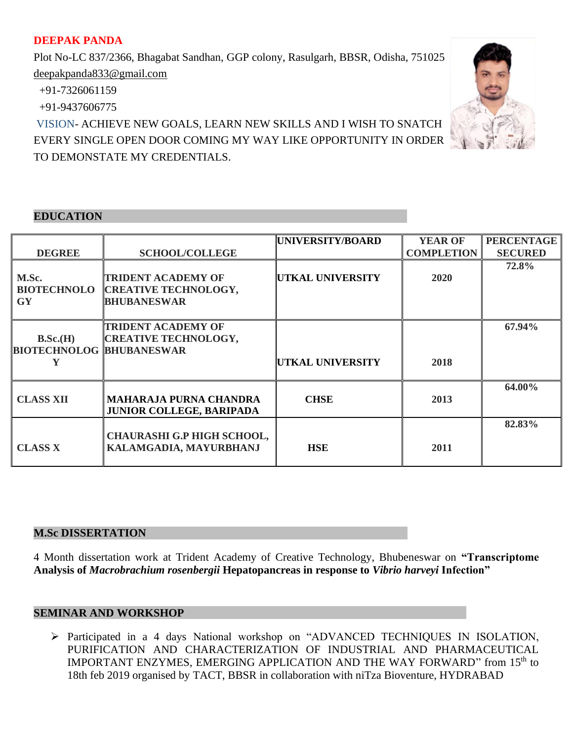# **DEEPAK PANDA**

Plot No-LC 837/2366, Bhagabat Sandhan, GGP colony, Rasulgarh, BBSR, Odisha, 751025 deepakpanda833@gmail.com

+91-7326061159

+91-9437606775

VISION- ACHIEVE NEW GOALS, LEARN NEW SKILLS AND I WISH TO SNATCH EVERY SINGLE OPEN DOOR COMING MY WAY LIKE OPPORTUNITY IN ORDER TO DEMONSTATE MY CREDENTIALS.

## **EDUCATION**

|                                 |                                   | UNIVERSITY/BOARD        | <b>YEAR OF</b>    | <b>PERCENTAGE</b> |
|---------------------------------|-----------------------------------|-------------------------|-------------------|-------------------|
| <b>DEGREE</b>                   | <b>SCHOOL/COLLEGE</b>             |                         | <b>COMPLETION</b> | <b>SECURED</b>    |
|                                 |                                   |                         |                   | 72.8%             |
| M.Sc.                           | <b>TRIDENT ACADEMY OF</b>         | UTKAL UNIVERSITY        | 2020              |                   |
| <b>BIOTECHNOLO</b>              | <b>CREATIVE TECHNOLOGY,</b>       |                         |                   |                   |
| <b>GY</b>                       | <b>BHUBANESWAR</b>                |                         |                   |                   |
|                                 |                                   |                         |                   |                   |
|                                 | <b>TRIDENT ACADEMY OF</b>         |                         |                   | 67.94%            |
| B.Sc.(H)                        | <b>CREATIVE TECHNOLOGY,</b>       |                         |                   |                   |
| <b>BIOTECHNOLOG BHUBANESWAR</b> |                                   |                         |                   |                   |
|                                 |                                   | <b>UTKAL UNIVERSITY</b> | 2018              |                   |
|                                 |                                   |                         |                   |                   |
|                                 |                                   |                         |                   | 64.00%            |
| <b>CLASS XII</b>                | <b>MAHARAJA PURNA CHANDRA</b>     | <b>CHSE</b>             | 2013              |                   |
|                                 | <b>JUNIOR COLLEGE, BARIPADA</b>   |                         |                   |                   |
|                                 |                                   |                         |                   | 82.83%            |
|                                 | <b>CHAURASHI G.P HIGH SCHOOL,</b> |                         |                   |                   |
| <b>CLASS X</b>                  | KALAMGADIA, MAYURBHANJ            | <b>HSE</b>              | 2011              |                   |
|                                 |                                   |                         |                   |                   |

#### **M.Sc DISSERTATION**

4 Month dissertation work at Trident Academy of Creative Technology, Bhubeneswar on **"Transcriptome Analysis of** *Macrobrachium rosenbergii* **Hepatopancreas in response to** *Vibrio harveyi* **Infection"**

# **SEMINAR AND WORKSHOP**

➢ Participated in a 4 days National workshop on "ADVANCED TECHNIQUES IN ISOLATION, PURIFICATION AND CHARACTERIZATION OF INDUSTRIAL AND PHARMACEUTICAL IMPORTANT ENZYMES, EMERGING APPLICATION AND THE WAY FORWARD" from 15th to 18th feb 2019 organised by TACT, BBSR in collaboration with niTza Bioventure, HYDRABAD

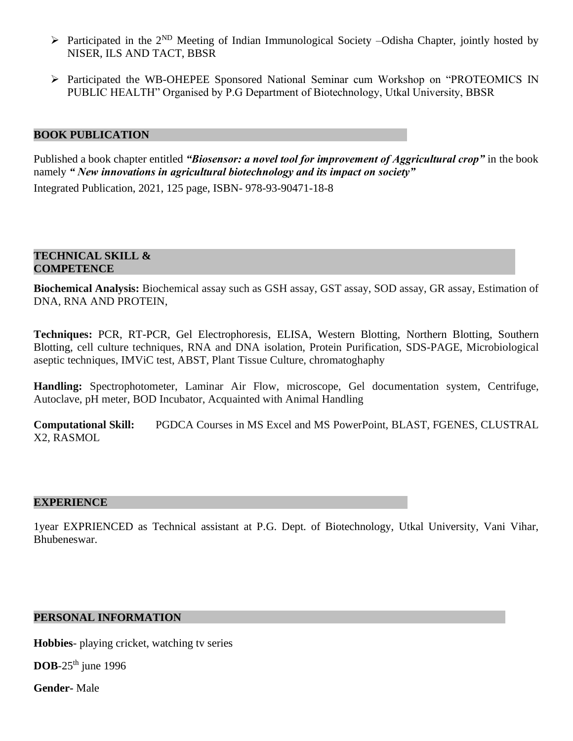- $\triangleright$  Participated in the 2<sup>ND</sup> Meeting of Indian Immunological Society –Odisha Chapter, jointly hosted by NISER, ILS AND TACT, BBSR
- ➢ Participated the WB-OHEPEE Sponsored National Seminar cum Workshop on "PROTEOMICS IN PUBLIC HEALTH" Organised by P.G Department of Biotechnology, Utkal University, BBSR

# **BOOK PUBLICATION**

Published a book chapter entitled *"Biosensor: a novel tool for improvement of Aggricultural crop"* in the book namely *" New innovations in agricultural biotechnology and its impact on society"* 

Integrated Publication, 2021, 125 page, ISBN- 978-93-90471-18-8

### **TECHNICAL SKILL & COMPETENCE**

**Biochemical Analysis:** Biochemical assay such as GSH assay, GST assay, SOD assay, GR assay, Estimation of DNA, RNA AND PROTEIN,

**Techniques:** PCR, RT-PCR, Gel Electrophoresis, ELISA, Western Blotting, Northern Blotting, Southern Blotting, cell culture techniques, RNA and DNA isolation, Protein Purification, SDS-PAGE, Microbiological aseptic techniques, IMViC test, ABST, Plant Tissue Culture, chromatoghaphy

**Handling:** Spectrophotometer, Laminar Air Flow, microscope, Gel documentation system, Centrifuge, Autoclave, pH meter, BOD Incubator, Acquainted with Animal Handling

**Computational Skill:** PGDCA Courses in MS Excel and MS PowerPoint, BLAST, FGENES, CLUSTRAL X2, RASMOL

#### **EXPERIENCE**

1year EXPRIENCED as Technical assistant at P.G. Dept. of Biotechnology, Utkal University, Vani Vihar, Bhubeneswar.

## **PERSONAL INFORMATION**

**Hobbies**- playing cricket, watching tv series

**DOB**-25<sup>th</sup> june 1996

**Gender-** Male